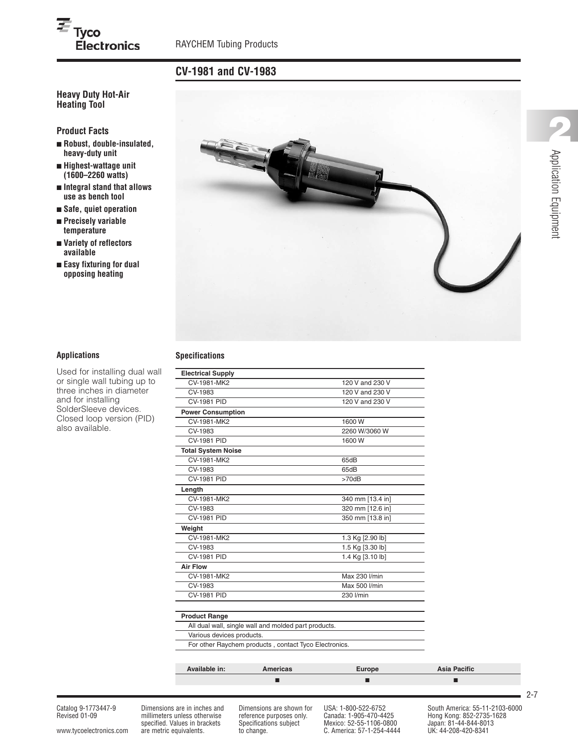# **CV-1981 and CV-1983**

## **Heavy Duty Hot-Air Heating Tool**

**Product Facts**

 $\overline{\equiv}$  Tyco

**■ Robust, double-insulated, heavy-duty unit**

**Electronics** 

- **■ Highest-wattage unit (1600–2260 watts)**
- **■ Integral stand that allows use as bench tool**
- **■ Safe, quiet operation**
- **■ Precisely variable temperature**
- **■ Variety of reflectors available**
- **■ Easy fixturing for dual opposing heating**



Used for installing dual wall or single wall tubing up to three inches in diameter and for installing SolderSleeve devices. Closed loop version (PID) also available.

#### **Applications Specifications**

|                               | ■                                                     | ■                                    | ■                   |
|-------------------------------|-------------------------------------------------------|--------------------------------------|---------------------|
| Available in:                 | <b>Americas</b>                                       | <b>Europe</b>                        | <b>Asia Pacific</b> |
|                               | For other Raychem products, contact Tyco Electronics. |                                      |                     |
| Various devices products.     |                                                       |                                      |                     |
|                               | All dual wall, single wall and molded part products.  |                                      |                     |
| <b>Product Range</b>          |                                                       |                                      |                     |
|                               |                                                       |                                      |                     |
| <b>CV-1981 PID</b>            |                                                       | 230 l/min                            |                     |
| CV-1983                       |                                                       | Max 500 l/min                        |                     |
| CV-1981-MK2                   |                                                       | Max 230 l/min                        |                     |
| <b>Air Flow</b>               |                                                       |                                      |                     |
| <b>CV-1981 PID</b>            |                                                       | 1.4 Kg [3.10 lb]                     |                     |
| CV-1983                       |                                                       | 1.5 Kg [3.30 lb]                     |                     |
| Weight<br>CV-1981-MK2         |                                                       | 1.3 Kg [2.90 lb]                     |                     |
|                               |                                                       |                                      |                     |
| CV-1983<br><b>CV-1981 PID</b> |                                                       | 320 mm [12.6 in]<br>350 mm [13.8 in] |                     |
| CV-1981-MK2                   |                                                       | 340 mm [13.4 in]                     |                     |
| Length                        |                                                       |                                      |                     |
| <b>CV-1981 PID</b>            |                                                       | $>70$ d $B$                          |                     |
| CV-1983                       |                                                       | 65dB                                 |                     |
| CV-1981-MK2                   |                                                       | 65dB                                 |                     |
| <b>Total System Noise</b>     |                                                       |                                      |                     |
| <b>CV-1981 PID</b>            |                                                       | 1600W                                |                     |
| CV-1983                       |                                                       | 2260 W/3060 W                        |                     |
| <b>CV-1981-MK2</b>            |                                                       | 1600W                                |                     |
| <b>Power Consumption</b>      |                                                       |                                      |                     |
| <b>CV-1981 PID</b>            |                                                       | 120 V and 230 V                      |                     |
| CV-1983                       |                                                       | 120 V and 230 V                      |                     |
| CV-1981-MK2                   |                                                       | 120 V and 230 V                      |                     |
|                               |                                                       |                                      |                     |

millimeters unless otherwise reference purposes only. Canada: 1-905-470-4425<br>specified. Values in brackets Specifications subject Mexico: 52-55-1106-0800 specified. Values in brackets Specifications subject Mexico: 52-55-1106-0800 Japan: 81-44-844-801<br>are metric equivalents. to change. C. America: 57-1-254-4444 UK: 44-208-420-8341

www.tycoelectronics.com are metric equivalents. to change. C. America: 57-1-254-4444

Catalog 9-1773447-9 Dimensions are in inches and Dimensions are shown for USA: 1-800-522-6752 South America: 55-11-2103-6000<br>Revised 01-09 millimeters unless otherwise reference purposes only. Canada: 1-905-470-4425 Hong K